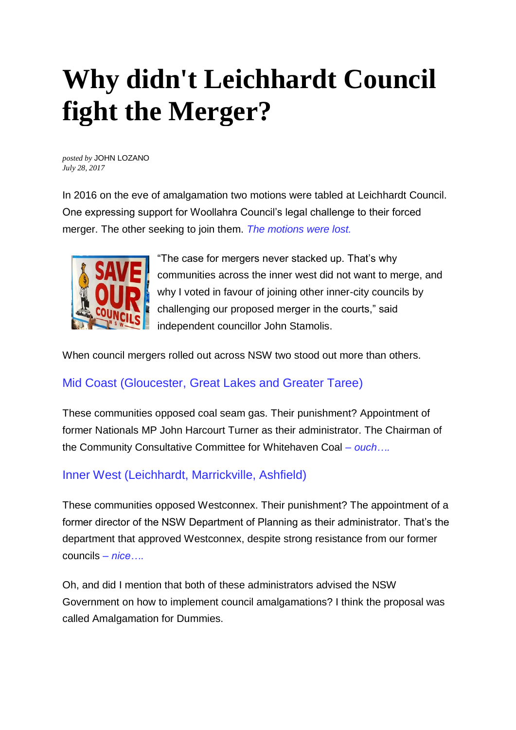# **Why didn't Leichhardt Council fight the Merger?**

*posted by* JOHN LOZANO *July 28, 2017*

In 2016 on the eve of amalgamation two motions were tabled at Leichhardt Council. One expressing support for Woollahra Council's legal challenge to their forced merger. The other seeking to join them. *The motions were lost.*



"The case for mergers never stacked up. That's why communities across the inner west did not want to merge, and why I voted in favour of joining other inner-city councils by challenging our proposed merger in the courts," said independent councillor John Stamolis.

When council mergers rolled out across NSW two stood out more than others.

# Mid Coast (Gloucester, Great Lakes and Greater Taree)

These communities opposed coal seam gas. Their punishment? Appointment of former Nationals MP John Harcourt Turner as their administrator. The Chairman of the Community Consultative Committee for Whitehaven Coal *– ouch….*

# Inner West (Leichhardt, Marrickville, Ashfield)

These communities opposed Westconnex. Their punishment? The appointment of a former director of the NSW Department of Planning as their administrator. That's the department that approved Westconnex, despite strong resistance from our former councils *– nice….*

Oh, and did I mention that both of these administrators advised the NSW Government on how to implement council amalgamations? I think the proposal was called Amalgamation for Dummies.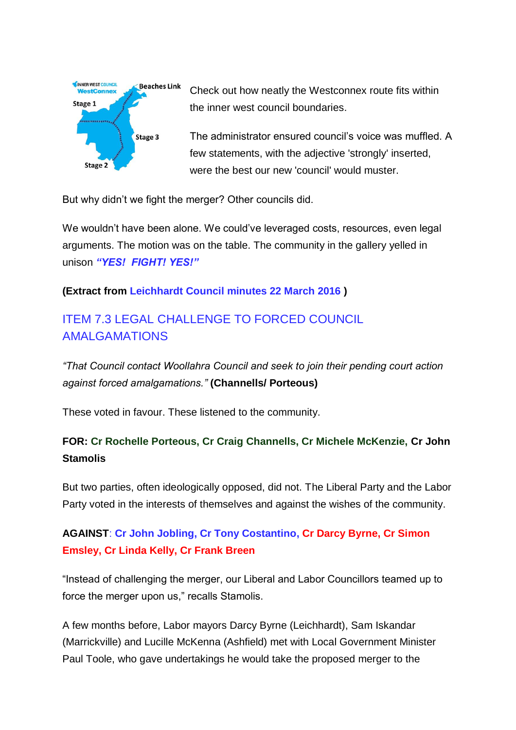

Check out how neatly the Westconnex route fits within the inner west council boundaries.

The administrator ensured council's voice was muffled. A few statements, with the adjective 'strongly' inserted, were the best our new 'council' would muster.

But why didn't we fight the merger? Other councils did.

We wouldn't have been alone. We could've leveraged costs, resources, even legal arguments. The motion was on the table. The community in the gallery yelled in unison *"YES! FIGHT! YES!"*

#### **(Extract from [Leichhardt Council minutes 22 March 2016](http://www.leichhardt.nsw.gov.au/About-Council/Meetings/Ordinary/2016/22-March-2016-Ordinary-/22-March-2016-Ordinary-Meeting) )**

# ITEM 7.3 LEGAL CHALLENGE TO FORCED COUNCIL AMALGAMATIONS

*"That Council contact Woollahra Council and seek to join their pending court action against forced amalgamations."* **(Channells/ Porteous)**

These voted in favour. These listened to the community.

## **FOR: Cr Rochelle Porteous, Cr Craig Channells, Cr Michele McKenzie, Cr John Stamolis**

But two parties, often ideologically opposed, did not. The Liberal Party and the Labor Party voted in the interests of themselves and against the wishes of the community.

## **AGAINST**: **Cr John Jobling, Cr Tony Costantino, Cr Darcy Byrne, Cr Simon Emsley, Cr Linda Kelly, Cr Frank Breen**

"Instead of challenging the merger, our Liberal and Labor Councillors teamed up to force the merger upon us," recalls Stamolis.

A few months before, Labor mayors Darcy Byrne (Leichhardt), Sam Iskandar (Marrickville) and Lucille McKenna (Ashfield) met with Local Government Minister Paul Toole, who gave undertakings he would take the proposed merger to the